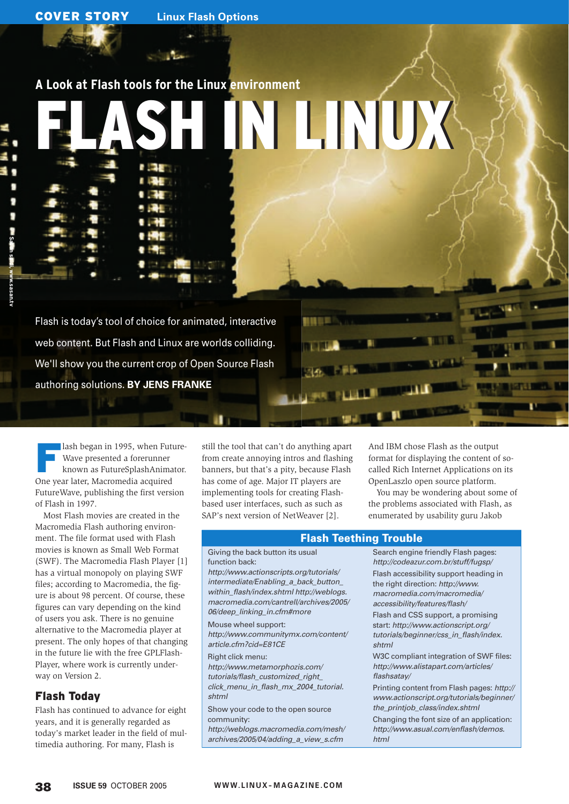# **A Look at Flash tools for the Linux environment**

# FLASH IN LINUX FLASH IN LINUX

Flash is today's tool of choice for animated, interactive web content. But Flash and Linux are worlds colliding. We'll show you the current crop of Open Source Flash authoring solutions. **BY JENS FRANKE**

lash began in 1995, when Future-Wave presented a forerunner known as FutureSplashAnimator. One year later, Macromedia acquired FutureWave, publishing the first version of Flash in 1997.

Most Flash movies are created in the Macromedia Flash authoring environment. The file format used with Flash movies is known as Small Web Format (SWF). The Macromedia Flash Player [1] has a virtual monopoly on playing SWF files; according to Macromedia, the figure is about 98 percent. Of course, these figures can vary depending on the kind of users you ask. There is no genuine alternative to the Macromedia player at present. The only hopes of that changing in the future lie with the free GPLFlash-Player, where work is currently underway on Version 2.

# Flash Today

Flash has continued to advance for eight years, and it is generally regarded as today's market leader in the field of multimedia authoring. For many, Flash is

still the tool that can't do anything apart from create annoying intros and flashing banners, but that's a pity, because Flash has come of age. Major IT players are implementing tools for creating Flashbased user interfaces, such as such as SAP's next version of NetWeaver [2].

And IBM chose Flash as the output format for displaying the content of socalled Rich Internet Applications on its OpenLaszlo open source platform.

You may be wondering about some of the problems associated with Flash, as enumerated by usability guru Jakob

### Flash Teething Trouble

### Giving the back button its usual function back:

http://www.actionscripts.org/tutorials/ intermediate/Enabling a back button within\_flash/index.shtml http://weblogs. macromedia.com/cantrell/archives/2005/ 06/deep\_linking\_in.cfm#more

Mouse wheel support: http://www.communitymx.com/content/ article.cfm?cid=E81CE

Right click menu: http://www.metamorphozis.com/ tutorials/flash\_customized\_right\_ click menu in flash mx 2004 tutorial. shtml

Show your code to the open source community:

http://weblogs.macromedia.com/mesh/ archives/2005/04/adding\_a\_view\_s.cfm

Search engine friendly Flash pages: http://codeazur.com.br/stuff/fugsp/ Flash accessibility support heading in the right direction: http://www. macromedia.com/macromedia/ accessibility/features/flash/

Flash and CSS support, a promising start: http://www.actionscript.org/ tutorials/beginner/css\_in\_flash/index. shtml

W3C compliant integration of SWF files: http://www.alistapart.com/articles/ flashsatay/

Printing content from Flash pages: http:// www.actionscript.org/tutorials/beginner/ the\_printiob\_class/index.shtml

Changing the font size of an application: http://www.asual.com/enflash/demos. html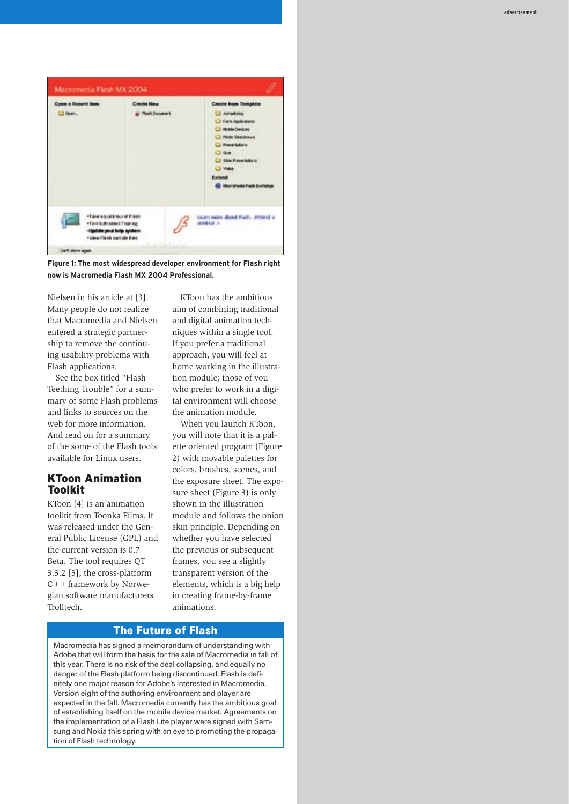

**Figure 1: The most widespread developer environment for Flash right now is Macromedia Flash MX 2004 Professional.**

Nielsen in his article at [3]. Many people do not realize that Macromedia and Nielsen entered a strategic partnership to remove the continuing usability problems with Flash applications.

See the box titled "Flash Teething Trouble" for a summary of some Flash problems and links to sources on the web for more information. And read on for a summary of the some of the Flash tools available for Linux users.

### KToon Animation Toolkit

KToon [4] is an animation toolkit from Toonka Films. It was released under the General Public License (GPL) and the current version is 0.7 Beta. The tool requires QT 3.3.2 [5], the cross-platform C++ framework by Norwegian software manufacturers Trolltech.

KToon has the ambitious aim of combining traditional and digital animation techniques within a single tool. If you prefer a traditional approach, you will feel at home working in the illustration module; those of you who prefer to work in a digital environment will choose the animation module.

When you launch KToon, you will note that it is a palette oriented program (Figure 2) with movable palettes for colors, brushes, scenes, and the exposure sheet. The exposure sheet (Figure 3) is only shown in the illustration module and follows the onion skin principle. Depending on whether you have selected the previous or subsequent frames, you see a slightly transparent version of the elements, which is a big help in creating frame-by-frame animations.

### The Future of Flash

Macromedia has signed a memorandum of understanding with Adobe that will form the basis for the sale of Macromedia in fall of this year. There is no risk of the deal collapsing, and equally no danger of the Flash platform being discontinued. Flash is definitely one major reason for Adobe's interested in Macromedia. Version eight of the authoring environment and player are expected in the fall. Macromedia currently has the ambitious goal of establishing itself on the mobile device market. Agreements on the implementation of a Flash Lite player were signed with Samsung and Nokia this spring with an eye to promoting the propagation of Flash technology.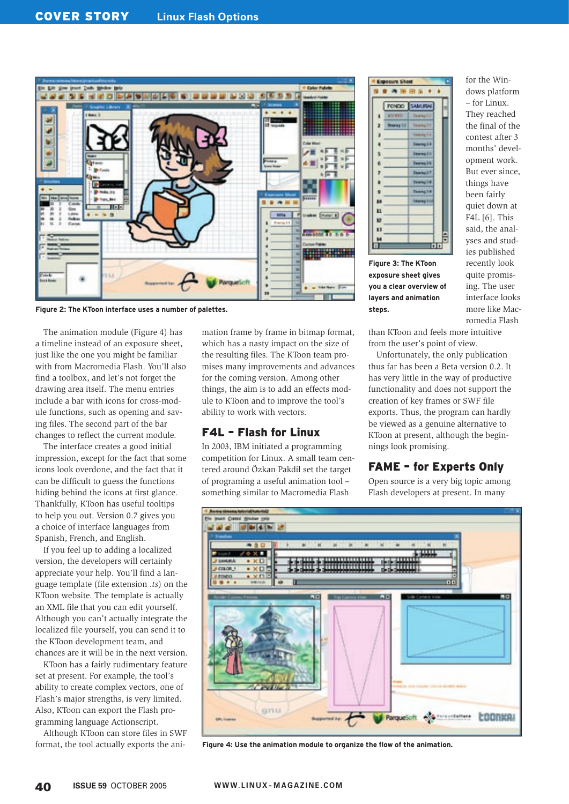

**Figure 2: The KToon interface uses a number of palettes.**

The animation module (Figure 4) has a timeline instead of an exposure sheet, just like the one you might be familiar with from Macromedia Flash. You'll also find a toolbox, and let's not forget the drawing area itself. The menu entries include a bar with icons for cross-module functions, such as opening and saving files. The second part of the bar changes to reflect the current module.

The interface creates a good initial impression, except for the fact that some icons look overdone, and the fact that it can be difficult to guess the functions hiding behind the icons at first glance. Thankfully, KToon has useful tooltips to help you out. Version 0.7 gives you a choice of interface languages from Spanish, French, and English.

If you feel up to adding a localized version, the developers will certainly appreciate your help. You'll find a language template (file extension *.ts*) on the KToon website. The template is actually an XML file that you can edit yourself. Although you can't actually integrate the localized file yourself, you can send it to the KToon development team, and chances are it will be in the next version.

KToon has a fairly rudimentary feature set at present. For example, the tool's ability to create complex vectors, one of Flash's major strengths, is very limited. Also, KToon can export the Flash programming language Actionscript.

Although KToon can store files in SWF format, the tool actually exports the animation frame by frame in bitmap format, which has a nasty impact on the size of the resulting files. The KToon team promises many improvements and advances for the coming version. Among other things, the aim is to add an effects module to KToon and to improve the tool's ability to work with vectors.

### F4L – Flash for Linux

In 2003, IBM initiated a programming competition for Linux. A small team centered around Özkan Pakdil set the target of programing a useful animation tool – something similar to Macromedia Flash

|    | renexo.          | CAAR                |               |
|----|------------------|---------------------|---------------|
|    |                  |                     |               |
|    | <b>Names 1.8</b> |                     |               |
|    |                  | 44.5.6              |               |
|    |                  | <b>Dearing E.K.</b> |               |
|    |                  | Desertação da       |               |
| 6  |                  | <b>Desires 24</b>   |               |
|    |                  | Daimles 3 7         |               |
|    |                  | <b>Tenning T.A.</b> |               |
|    |                  | sweat 24            |               |
| 89 |                  | ameng 2-            |               |
| 81 |                  |                     |               |
| 墅  |                  |                     |               |
| ü  |                  |                     |               |
| 54 |                  |                     | $\frac{1}{2}$ |

**Figure 3: The KToon exposure sheet gives you a clear overview of layers and animation steps.**

for the Windows platform – for Linux. They reached the final of the contest after 3 months' development work. But ever since, things have been fairly quiet down at F4L [6]. This said, the analyses and studies published recently look quite promising. The user interface looks more like Macromedia Flash

than KToon and feels more intuitive from the user's point of view.

Unfortunately, the only publication thus far has been a Beta version 0.2. It has very little in the way of productive functionality and does not support the creation of key frames or SWF file exports. Thus, the program can hardly be viewed as a genuine alternative to KToon at present, although the beginnings look promising.

## FAME – for Experts Only

Open source is a very big topic among Flash developers at present. In many



**Figure 4: Use the animation module to organize the flow of the animation.**